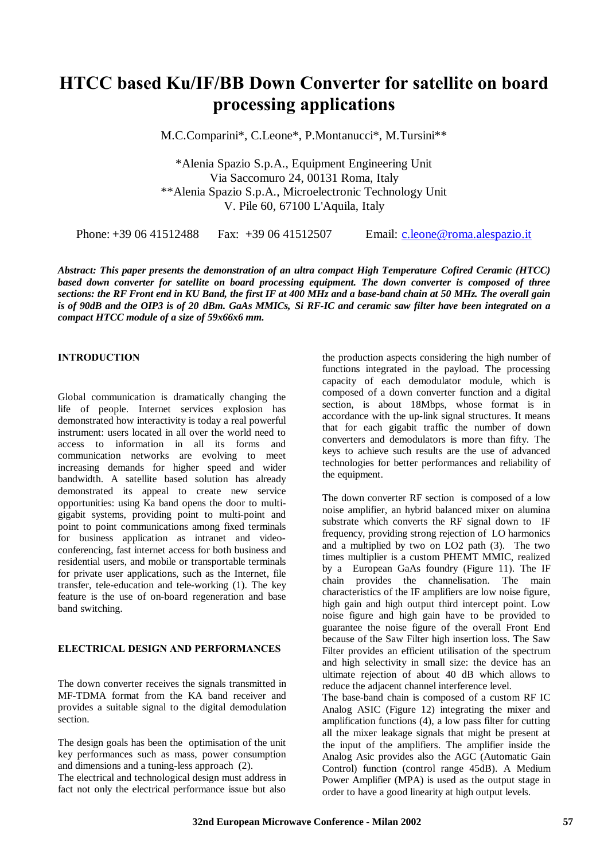# **HTCC based Ku/IF/BB Down Converter for satellite on board processing applications**

M.C.Comparini\*, C.Leone\*, P.Montanucci\*, M.Tursini\*\*

\*Alenia Spazio S.p.A., Equipment Engineering Unit Via Saccomuro 24, 00131 Roma, Italy \*\*Alenia Spazio S.p.A., Microelectronic Technology Unit V. Pile 60, 67100 L'Aquila, Italy

Phone: +39 06 41512488 Fax: +39 06 41512507 Email: c.leone@roma.alespazio.it

*Abstract: This paper presents the demonstration of an ultra compact High Temperature Cofired Ceramic (HTCC) based down converter for satellite on board processing equipment. The down converter is composed of three sections: the RF Front end in KU Band, the first IF at 400 MHz and a base-band chain at 50 MHz. The overall gain is of 90dB and the OIP3 is of 20 dBm. GaAs MMICs, Si RF-IC and ceramic saw filter have been integrated on a compact HTCC module of a size of 59x66x6 mm.*

#### **INTRODUCTION**

Global communication is dramatically changing the life of people. Internet services explosion has demonstrated how interactivity is today a real powerful instrument: users located in all over the world need to access to information in all its forms and communication networks are evolving to meet increasing demands for higher speed and wider bandwidth. A satellite based solution has already demonstrated its appeal to create new service opportunities: using Ka band opens the door to multigigabit systems, providing point to multi-point and point to point communications among fixed terminals for business application as intranet and videoconferencing, fast internet access for both business and residential users, and mobile or transportable terminals for private user applications, such as the Internet, file transfer, tele-education and tele-working (1). The key feature is the use of on-board regeneration and base band switching.

## **ELECTRICAL DESIGN AND PERFORMANCES**

The down converter receives the signals transmitted in MF-TDMA format from the KA band receiver and provides a suitable signal to the digital demodulation section.

The design goals has been the optimisation of the unit key performances such as mass, power consumption and dimensions and a tuning-less approach (2). The electrical and technological design must address in fact not only the electrical performance issue but also

the production aspects considering the high number of functions integrated in the payload. The processing capacity of each demodulator module, which is composed of a down converter function and a digital section, is about 18Mbps, whose format is in accordance with the up-link signal structures. It means that for each gigabit traffic the number of down converters and demodulators is more than fifty. The keys to achieve such results are the use of advanced technologies for better performances and reliability of the equipment.

The down converter RF section is composed of a low noise amplifier, an hybrid balanced mixer on alumina substrate which converts the RF signal down to IF frequency, providing strong rejection of LO harmonics and a multiplied by two on LO2 path (3). The two times multiplier is a custom PHEMT MMIC, realized by a European GaAs foundry (Figure 11). The IF chain provides the channelisation. The main characteristics of the IF amplifiers are low noise figure, high gain and high output third intercept point. Low noise figure and high gain have to be provided to guarantee the noise figure of the overall Front End because of the Saw Filter high insertion loss. The Saw Filter provides an efficient utilisation of the spectrum and high selectivity in small size: the device has an ultimate rejection of about 40 dB which allows to reduce the adjacent channel interference level.

The base-band chain is composed of a custom RF IC Analog ASIC (Figure 12) integrating the mixer and amplification functions (4), a low pass filter for cutting all the mixer leakage signals that might be present at the input of the amplifiers. The amplifier inside the Analog Asic provides also the AGC (Automatic Gain Control) function (control range 45dB). A Medium Power Amplifier (MPA) is used as the output stage in order to have a good linearity at high output levels.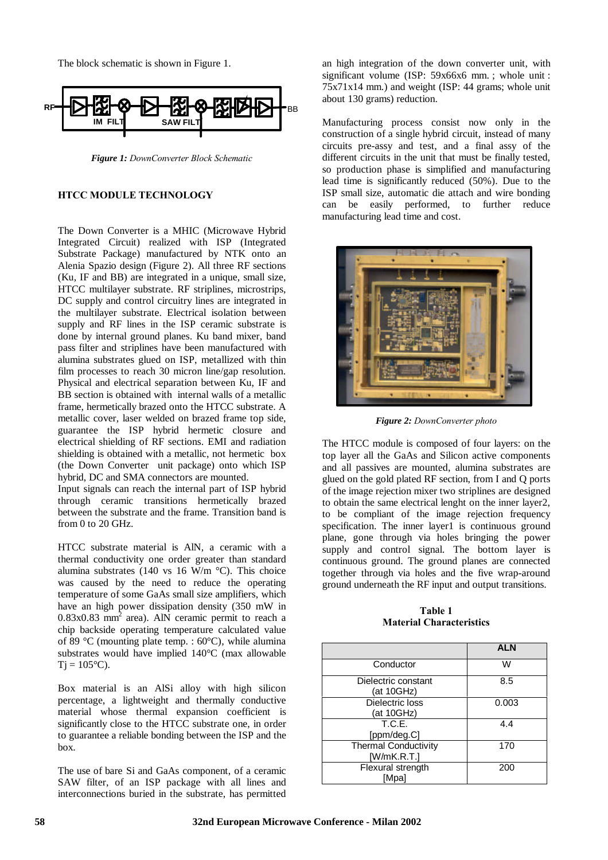The block schematic is shown in Figure 1.



*Figure 1: DownConverter Block Schematic*

# **HTCC MODULE TECHNOLOGY**

The Down Converter is a MHIC (Microwave Hybrid Integrated Circuit) realized with ISP (Integrated Substrate Package) manufactured by NTK onto an Alenia Spazio design (Figure 2). All three RF sections (Ku, IF and BB) are integrated in a unique, small size, HTCC multilayer substrate. RF striplines, microstrips, DC supply and control circuitry lines are integrated in the multilayer substrate. Electrical isolation between supply and RF lines in the ISP ceramic substrate is done by internal ground planes. Ku band mixer, band pass filter and striplines have been manufactured with alumina substrates glued on ISP, metallized with thin film processes to reach 30 micron line/gap resolution. Physical and electrical separation between Ku, IF and BB section is obtained with internal walls of a metallic frame, hermetically brazed onto the HTCC substrate. A metallic cover, laser welded on brazed frame top side, guarantee the ISP hybrid hermetic closure and electrical shielding of RF sections. EMI and radiation shielding is obtained with a metallic, not hermetic box (the Down Converter unit package) onto which ISP hybrid, DC and SMA connectors are mounted.

Input signals can reach the internal part of ISP hybrid through ceramic transitions hermetically brazed between the substrate and the frame. Transition band is from 0 to 20 GHz.

HTCC substrate material is AlN, a ceramic with a thermal conductivity one order greater than standard alumina substrates (140 vs 16 W/m °C). This choice was caused by the need to reduce the operating temperature of some GaAs small size amplifiers, which have an high power dissipation density (350 mW in  $0.83x0.83$  mm<sup>2</sup> area). AlN ceramic permit to reach a chip backside operating temperature calculated value of 89 °C (mounting plate temp. : 60°C), while alumina substrates would have implied 140°C (max allowable  $Tj = 105^{\circ}C$ .

Box material is an AlSi alloy with high silicon percentage, a lightweight and thermally conductive material whose thermal expansion coefficient is significantly close to the HTCC substrate one, in order to guarantee a reliable bonding between the ISP and the box.

The use of bare Si and GaAs component, of a ceramic SAW filter, of an ISP package with all lines and interconnections buried in the substrate, has permitted

an high integration of the down converter unit, with significant volume (ISP: 59x66x6 mm.; whole unit:  $75x71x14$  mm.) and weight (ISP: 44 grams; whole unit about 130 grams) reduction.

Manufacturing process consist now only in the construction of a single hybrid circuit, instead of many circuits pre-assy and test, and a final assy of the different circuits in the unit that must be finally tested, so production phase is simplified and manufacturing lead time is significantly reduced (50%). Due to the ISP small size, automatic die attach and wire bonding can be easily performed, to further reduce manufacturing lead time and cost.



*Figure 2: DownConverter photo*

The HTCC module is composed of four layers: on the top layer all the GaAs and Silicon active components and all passives are mounted, alumina substrates are glued on the gold plated RF section, from I and Q ports of the image rejection mixer two striplines are designed to obtain the same electrical lenght on the inner layer2, to be compliant of the image rejection frequency specification. The inner layer1 is continuous ground plane, gone through via holes bringing the power supply and control signal. The bottom layer is continuous ground. The ground planes are connected together through via holes and the five wrap-around ground underneath the RF input and output transitions.

**Table 1 Material Characteristics**

|                                            | <b>ALN</b> |
|--------------------------------------------|------------|
| Conductor                                  | w          |
| Dielectric constant<br>(at 10GHz)          | 8.5        |
| Dielectric loss<br>(at 10GHz)              | 0.003      |
| T.C.E.<br>[ppm/deg.C]                      | 4.4        |
| <b>Thermal Conductivity</b><br>[W/mK.R.T.] | 170        |
| Flexural strength<br>[Mpa]                 | 200        |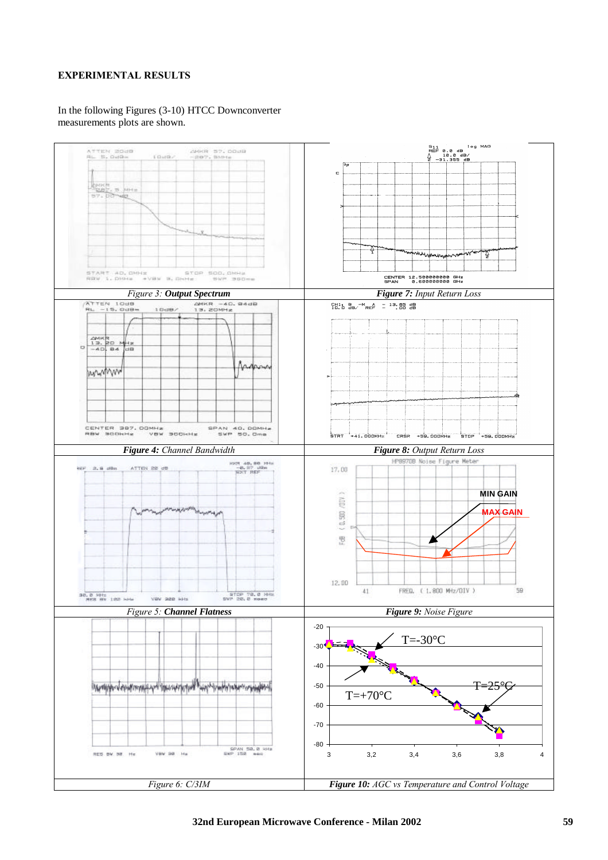# **EXPERIMENTAL RESULTS**

#### In the following Figures (3-10) HTCC Downconverter measurements plots are shown.